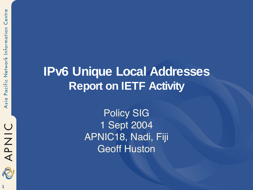

## **IPv6 Unique Local Addresses Report on IETF Activity**

Policy SIG 1 Sept 2004 APNIC18, Nadi, Fiji Geoff Huston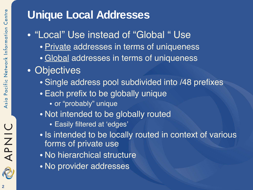## **Unique Local Addresses**

- "Local" Use instead of "Global " Use
	- Private addresses in terms of uniqueness
	- Global addresses in terms of uniqueness
- Objectives
	- Single address pool subdivided into /48 prefixes
	- Each prefix to be globally unique
		- or "probably" unique
	- Not intended to be globally routed
		- Easily filtered at 'edges'
	- Is intended to be locally routed in context of various forms of private use
	- No hierarchical structure
	- No provider addresses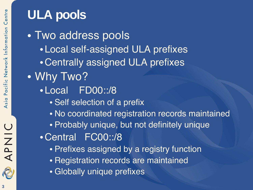# **ULA pools**

• Two address pools • Local self-assigned ULA prefixes •Centrally assigned ULA prefixes • Why Two? • Local FD00::/8 • Self selection of a prefix • No coordinated registration records maintained • Probably unique, but not definitely unique •Central FC00::/8 • Prefixes assigned by a registry function • Registration records are maintained • Globally unique prefixes

APNIC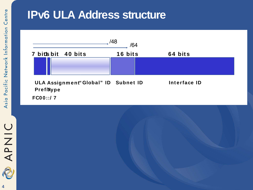### **IPv6 ULA Address structure**



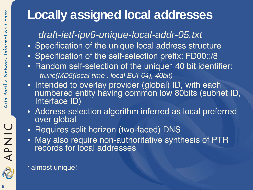## **Locally assigned local addresses**

#### draft-ietf-ipv6-unique-local-addr-05.txt

- Specification of the unique local address structure
- Specification of the self-selection prefix: FD00::/8
- Random self-selection of the unique\* 40 bit identifier: trunc(MD5(local time . local EUI-64), 40bit)
- Intended to overlay provider (global) ID, with each numbered entity having common low 80bits (subnet ID, Interface ID)
- Address selection algorithm inferred as local preferred over global
- Requires split horizon (two-faced) DNS
- May also require non-authoritative synthesis of PTR records for local addresses

\* almost unique!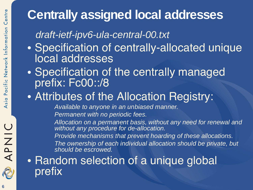# **Centrally assigned local addresses**

#### draft-ietf-ipv6-ula-central-00.txt

- Specification of centrally-allocated unique local addresses
- Specification of the centrally managed prefix: Fc00::/8

## • Attributes of the Allocation Registry:

Available to anyone in an unbiased manner.

Permanent with no periodic fees.

Allocation on a permanent basis, without any need for renewal and without any procedure for de-allocation.

Provide mechanisms that prevent hoarding of these allocations. The ownership of each individual allocation should be private, but should be escrowed.

## • Random selection of a unique global prefix

APNIC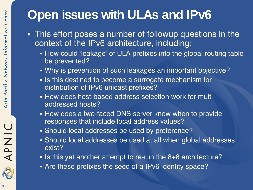# **Open issues with ULAs and IPv6**

- This effort poses a number of followup questions in the context of the IPv6 architecture, including:
	- How could 'leakage' of ULA prefixes into the global routing table be prevented?
	- Why is prevention of such leakages an important objective?
	- Is this destined to become a surrogate mechanism for distribution of IPv6 unicast prefixes?
	- How does host-based address selection work for multiaddressed hosts?
	- How does a two-faced DNS server know when to provide responses that include local address values?
	- Should local addresses be used by preference?
	- Should local addresses be used at all when global addresses exist?
	- Is this yet another attempt to re-run the 8+8 architecture?
	- Are these prefixes the seed of a IPv6 identity space?